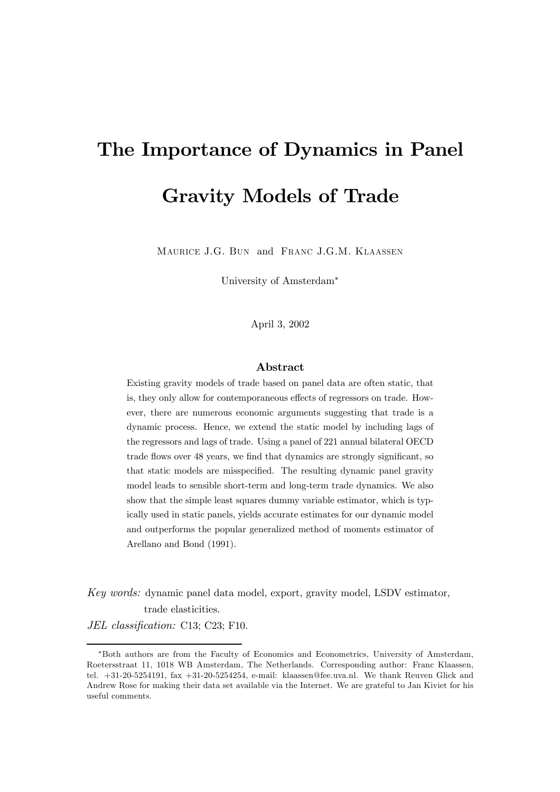# The Importance of Dynamics in Panel Gravity Models of Trade

Maurice J.G. Bun and Franc J.G.M. Klaassen

University of Amsterdam∗

April 3, 2002

## Abstract

Existing gravity models of trade based on panel data are often static, that is, they only allow for contemporaneous effects of regressors on trade. However, there are numerous economic arguments suggesting that trade is a dynamic process. Hence, we extend the static model by including lags of the regressors and lags of trade. Using a panel of 221 annual bilateral OECD trade flows over 48 years, we find that dynamics are strongly significant, so that static models are misspecified. The resulting dynamic panel gravity model leads to sensible short-term and long-term trade dynamics. We also show that the simple least squares dummy variable estimator, which is typically used in static panels, yields accurate estimates for our dynamic model and outperforms the popular generalized method of moments estimator of Arellano and Bond (1991).

Key words: dynamic panel data model, export, gravity model, LSDV estimator, trade elasticities.

JEL classification: C13; C23; F10.

<sup>∗</sup>Both authors are from the Faculty of Economics and Econometrics, University of Amsterdam, Roetersstraat 11, 1018 WB Amsterdam, The Netherlands. Corresponding author: Franc Klaassen, tel. +31-20-5254191, fax +31-20-5254254, e-mail: klaassen@fee.uva.nl. We thank Reuven Glick and Andrew Rose for making their data set available via the Internet. We are grateful to Jan Kiviet for his useful comments.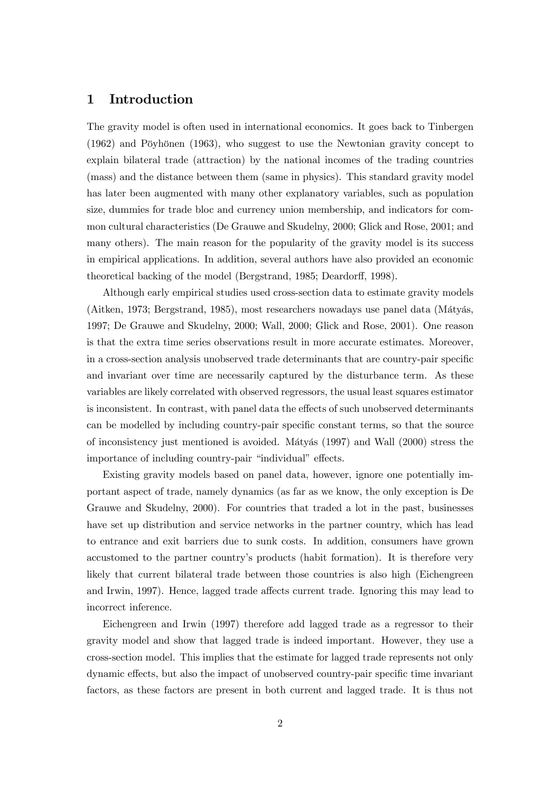## 1 Introduction

The gravity model is often used in international economics. It goes back to Tinbergen (1962) and Pöyhönen (1963), who suggest to use the Newtonian gravity concept to explain bilateral trade (attraction) by the national incomes of the trading countries (mass) and the distance between them (same in physics). This standard gravity model has later been augmented with many other explanatory variables, such as population size, dummies for trade bloc and currency union membership, and indicators for common cultural characteristics (De Grauwe and Skudelny, 2000; Glick and Rose, 2001; and many others). The main reason for the popularity of the gravity model is its success in empirical applications. In addition, several authors have also provided an economic theoretical backing of the model (Bergstrand, 1985; Deardorff, 1998).

Although early empirical studies used cross-section data to estimate gravity models (Aitken, 1973; Bergstrand, 1985), most researchers nowadays use panel data (Mátyás, 1997; De Grauwe and Skudelny, 2000; Wall, 2000; Glick and Rose, 2001). One reason is that the extra time series observations result in more accurate estimates. Moreover, in a cross-section analysis unobserved trade determinants that are country-pair specific and invariant over time are necessarily captured by the disturbance term. As these variables are likely correlated with observed regressors, the usual least squares estimator is inconsistent. In contrast, with panel data the effects of such unobserved determinants can be modelled by including country-pair specific constant terms, so that the source of inconsistency just mentioned is avoided. Mátyás (1997) and Wall (2000) stress the importance of including country-pair "individual" effects.

Existing gravity models based on panel data, however, ignore one potentially important aspect of trade, namely dynamics (as far as we know, the only exception is De Grauwe and Skudelny, 2000). For countries that traded a lot in the past, businesses have set up distribution and service networks in the partner country, which has lead to entrance and exit barriers due to sunk costs. In addition, consumers have grown accustomed to the partner country's products (habit formation). It is therefore very likely that current bilateral trade between those countries is also high (Eichengreen and Irwin, 1997). Hence, lagged trade affects current trade. Ignoring this may lead to incorrect inference.

Eichengreen and Irwin (1997) therefore add lagged trade as a regressor to their gravity model and show that lagged trade is indeed important. However, they use a cross-section model. This implies that the estimate for lagged trade represents not only dynamic effects, but also the impact of unobserved country-pair specific time invariant factors, as these factors are present in both current and lagged trade. It is thus not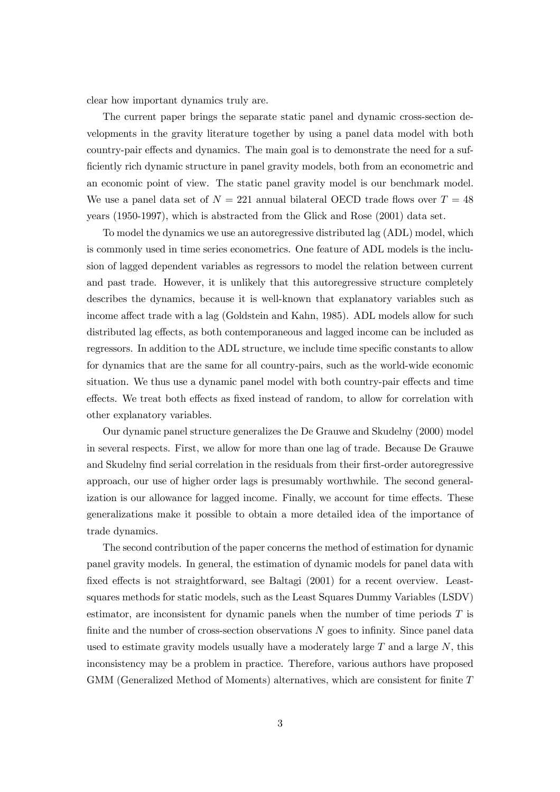clear how important dynamics truly are.

The current paper brings the separate static panel and dynamic cross-section developments in the gravity literature together by using a panel data model with both country-pair effects and dynamics. The main goal is to demonstrate the need for a sufficiently rich dynamic structure in panel gravity models, both from an econometric and an economic point of view. The static panel gravity model is our benchmark model. We use a panel data set of  $N = 221$  annual bilateral OECD trade flows over  $T = 48$ years (1950-1997), which is abstracted from the Glick and Rose (2001) data set.

To model the dynamics we use an autoregressive distributed lag (ADL) model, which is commonly used in time series econometrics. One feature of ADL models is the inclusion of lagged dependent variables as regressors to model the relation between current and past trade. However, it is unlikely that this autoregressive structure completely describes the dynamics, because it is well-known that explanatory variables such as income affect trade with a lag (Goldstein and Kahn, 1985). ADL models allow for such distributed lag effects, as both contemporaneous and lagged income can be included as regressors. In addition to the ADL structure, we include time specific constants to allow for dynamics that are the same for all country-pairs, such as the world-wide economic situation. We thus use a dynamic panel model with both country-pair effects and time effects. We treat both effects as fixed instead of random, to allow for correlation with other explanatory variables.

Our dynamic panel structure generalizes the De Grauwe and Skudelny (2000) model in several respects. First, we allow for more than one lag of trade. Because De Grauwe and Skudelny find serial correlation in the residuals from their first-order autoregressive approach, our use of higher order lags is presumably worthwhile. The second generalization is our allowance for lagged income. Finally, we account for time effects. These generalizations make it possible to obtain a more detailed idea of the importance of trade dynamics.

The second contribution of the paper concerns the method of estimation for dynamic panel gravity models. In general, the estimation of dynamic models for panel data with fixed effects is not straightforward, see Baltagi (2001) for a recent overview. Leastsquares methods for static models, such as the Least Squares Dummy Variables (LSDV) estimator, are inconsistent for dynamic panels when the number of time periods  $T$  is finite and the number of cross-section observations N goes to infinity. Since panel data used to estimate gravity models usually have a moderately large  $T$  and a large  $N$ , this inconsistency may be a problem in practice. Therefore, various authors have proposed GMM (Generalized Method of Moments) alternatives, which are consistent for finite T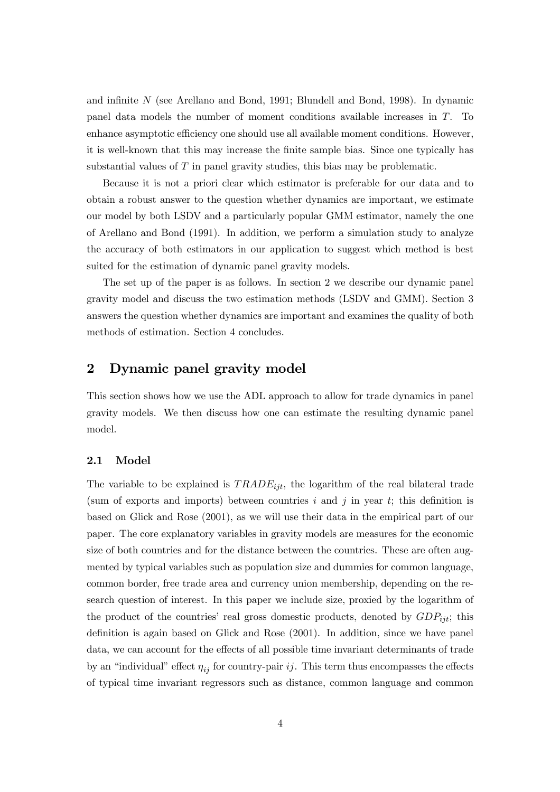and infinite N (see Arellano and Bond, 1991; Blundell and Bond, 1998). In dynamic panel data models the number of moment conditions available increases in T. To enhance asymptotic efficiency one should use all available moment conditions. However, it is well-known that this may increase the finite sample bias. Since one typically has substantial values of T in panel gravity studies, this bias may be problematic.

Because it is not a priori clear which estimator is preferable for our data and to obtain a robust answer to the question whether dynamics are important, we estimate our model by both LSDV and a particularly popular GMM estimator, namely the one of Arellano and Bond (1991). In addition, we perform a simulation study to analyze the accuracy of both estimators in our application to suggest which method is best suited for the estimation of dynamic panel gravity models.

The set up of the paper is as follows. In section 2 we describe our dynamic panel gravity model and discuss the two estimation methods (LSDV and GMM). Section 3 answers the question whether dynamics are important and examines the quality of both methods of estimation. Section 4 concludes.

# 2 Dynamic panel gravity model

This section shows how we use the ADL approach to allow for trade dynamics in panel gravity models. We then discuss how one can estimate the resulting dynamic panel model.

## 2.1 Model

The variable to be explained is  $TRADE_{ijt}$ , the logarithm of the real bilateral trade (sum of exports and imports) between countries  $i$  and  $j$  in year  $t$ ; this definition is based on Glick and Rose (2001), as we will use their data in the empirical part of our paper. The core explanatory variables in gravity models are measures for the economic size of both countries and for the distance between the countries. These are often augmented by typical variables such as population size and dummies for common language, common border, free trade area and currency union membership, depending on the research question of interest. In this paper we include size, proxied by the logarithm of the product of the countries' real gross domestic products, denoted by  $GDP_{ijt}$ ; this definition is again based on Glick and Rose (2001). In addition, since we have panel data, we can account for the effects of all possible time invariant determinants of trade by an "individual" effect  $\eta_{ij}$  for country-pair ij. This term thus encompasses the effects of typical time invariant regressors such as distance, common language and common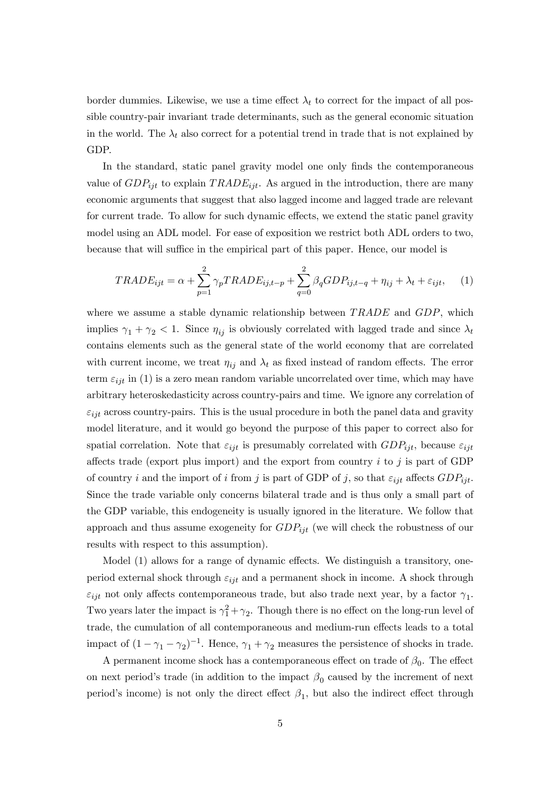border dummies. Likewise, we use a time effect  $\lambda_t$  to correct for the impact of all possible country-pair invariant trade determinants, such as the general economic situation in the world. The  $\lambda_t$  also correct for a potential trend in trade that is not explained by GDP.

In the standard, static panel gravity model one only finds the contemporaneous value of  $GDP_{ijt}$  to explain  $TRADE_{ijt}$ . As argued in the introduction, there are many economic arguments that suggest that also lagged income and lagged trade are relevant for current trade. To allow for such dynamic effects, we extend the static panel gravity model using an ADL model. For ease of exposition we restrict both ADL orders to two, because that will suffice in the empirical part of this paper. Hence, our model is

$$
TRADE_{ijt} = \alpha + \sum_{p=1}^{2} \gamma_p TRADE_{ij,t-p} + \sum_{q=0}^{2} \beta_q GDP_{ij,t-q} + \eta_{ij} + \lambda_t + \varepsilon_{ijt}, \quad (1)
$$

where we assume a stable dynamic relationship between  $TRADE$  and  $GDP$ , which implies  $\gamma_1 + \gamma_2 < 1$ . Since  $\eta_{ij}$  is obviously correlated with lagged trade and since  $\lambda_t$ contains elements such as the general state of the world economy that are correlated with current income, we treat  $\eta_{ij}$  and  $\lambda_t$  as fixed instead of random effects. The error term  $\varepsilon_{ijt}$  in (1) is a zero mean random variable uncorrelated over time, which may have arbitrary heteroskedasticity across country-pairs and time. We ignore any correlation of  $\varepsilon_{iit}$  across country-pairs. This is the usual procedure in both the panel data and gravity model literature, and it would go beyond the purpose of this paper to correct also for spatial correlation. Note that  $\varepsilon_{ijt}$  is presumably correlated with  $GDP_{ijt}$ , because  $\varepsilon_{ijt}$ affects trade (export plus import) and the export from country  $i$  to  $j$  is part of GDP of country i and the import of i from j is part of GDP of j, so that  $\varepsilon_{ijt}$  affects  $GDP_{ijt}$ . Since the trade variable only concerns bilateral trade and is thus only a small part of the GDP variable, this endogeneity is usually ignored in the literature. We follow that approach and thus assume exogeneity for  $GDP_{ijt}$  (we will check the robustness of our results with respect to this assumption).

Model (1) allows for a range of dynamic effects. We distinguish a transitory, oneperiod external shock through  $\varepsilon_{ijt}$  and a permanent shock in income. A shock through  $\varepsilon_{ijt}$  not only affects contemporaneous trade, but also trade next year, by a factor  $\gamma_1$ . Two years later the impact is  $\gamma_1^2 + \gamma_2$ . Though there is no effect on the long-run level of trade, the cumulation of all contemporaneous and medium-run effects leads to a total impact of  $(1 - \gamma_1 - \gamma_2)^{-1}$ . Hence,  $\gamma_1 + \gamma_2$  measures the persistence of shocks in trade.

A permanent income shock has a contemporaneous effect on trade of  $\beta_0$ . The effect on next period's trade (in addition to the impact  $\beta_0$  caused by the increment of next period's income) is not only the direct effect  $\beta_1$ , but also the indirect effect through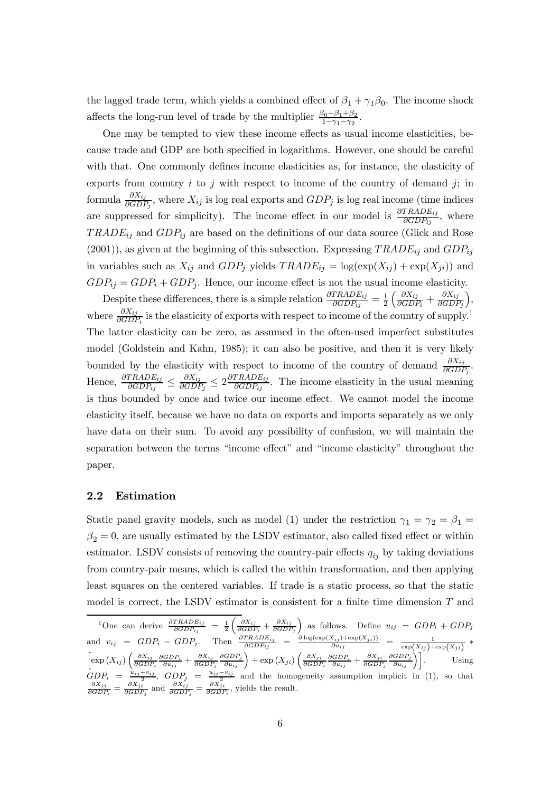the lagged trade term, which yields a combined effect of  $\beta_1 + \gamma_1 \beta_0$ . The income shock affects the long-run level of trade by the multiplier  $\frac{\beta_0 + \beta_1 + \beta_2}{1 - \gamma_1 - \gamma_2}$ .

One may be tempted to view these income effects as usual income elasticities, because trade and GDP are both specified in logarithms. However, one should be careful with that. One commonly defines income elasticities as, for instance, the elasticity of exports from country  $i$  to  $j$  with respect to income of the country of demand  $j$ ; in formula  $\frac{\partial X_{ij}}{\partial GDP_j}$ , where  $X_{ij}$  is log real exports and  $GDP_j$  is log real income (time indices are suppressed for simplicity). The income effect in our model is  $\frac{\partial TRADE_{ij}}{\partial GDP_{ij}}$ , where  $TRADE_{ij}$  and  $GDP_{ij}$  are based on the definitions of our data source (Glick and Rose  $(2001)$ , as given at the beginning of this subsection. Expressing  $TRADE_{ij}$  and  $GDP_{ij}$ in variables such as  $X_{ij}$  and  $GDP_j$  yields  $TRADE_{ij} = \log(\exp(X_{ij}) + \exp(X_{ji}))$  and  $GDP_{ij} = GDP_i + GDP_j$ . Hence, our income effect is not the usual income elasticity.

Despite these differences, there is a simple relation  $\frac{\partial TRADE_{ij}}{\partial GDP_{ij}} = \frac{1}{2}$  $\left(\frac{\partial X_{ij}}{\partial GDP_i} + \frac{\partial X_{ij}}{\partial GDP_j}\right)$ ´ , where  $\frac{\partial X_{ij}}{\partial GDP_i}$  is the elasticity of exports with respect to income of the country of supply.<sup>1</sup> The latter elasticity can be zero, as assumed in the often-used imperfect substitutes model (Goldstein and Kahn, 1985); it can also be positive, and then it is very likely bounded by the elasticity with respect to income of the country of demand  $\frac{\partial X_{ij}}{\partial GDP_j}$ . Hence,  $\frac{\partial TRADE_{ij}}{\partial GDP_{ij}} \le \frac{\partial X_{ij}}{\partial GDP_{j}} \le 2\frac{\partial TRADE_{ij}}{\partial GDP_{ij}}$ . The income elasticity in the usual meaning is thus bounded by once and twice our income effect. We cannot model the income elasticity itself, because we have no data on exports and imports separately as we only have data on their sum. To avoid any possibility of confusion, we will maintain the separation between the terms "income effect" and "income elasticity" throughout the paper.

#### 2.2 Estimation

Static panel gravity models, such as model (1) under the restriction  $\gamma_1 = \gamma_2 = \beta_1 =$  $\beta_2 = 0$ , are usually estimated by the LSDV estimator, also called fixed effect or within estimator. LSDV consists of removing the country-pair effects  $\eta_{ij}$  by taking deviations from country-pair means, which is called the within transformation, and then applying least squares on the centered variables. If trade is a static process, so that the static model is correct, the LSDV estimator is consistent for a finite time dimension T and

<sup>1</sup>One can derive  $\frac{\partial TRADE_{ij}}{\partial GDP_{ij}} = \frac{1}{2} \left( \frac{\partial X_{ij}}{\partial GDP_i} + \frac{\partial X_{ij}}{\partial GDP_j} \right)$ as follows. Define  $u_{ij} = GDP_i + GDP_j$ and  $v_{ij} = GDP_i - GDP_j$ . Then  $\frac{\partial TRADE_{ij}}{\partial GDP_{ij}} = \frac{\partial \log(\exp(X_{ij}) + \exp(X_{ji}))}{\partial u_{ij}} = \frac{1}{\exp(X_{ij}) + \exp(X_{ji})} *$ <br>  $\left[\exp(X_{ij})\left(\frac{\partial X_{ij}}{\partial GDP_i}\frac{\partial GDP_i}{\partial u_{ij}} + \frac{\partial X_{ji}}{\partial GDP_i}\frac{\partial GDP_i}{\partial u_{ij}}\right) + \exp(X_{ji})\left(\frac{\partial X_{ji}}{\partial GDP_i}\frac{\partial GDP_i}{\partial u_{ij}} + \frac{\partial X_{ji}}{\partial GDP_i}\frac{\partial GDP_i}{\partial u_{ij}}\right)\right]$  $\frac{\partial X_{ij}}{\partial GDP_i}\frac{\partial GDP_i}{\partial u_{ij}} + \frac{\partial X_{ij}}{\partial GDP_j}$  $\left(\frac{\partial GDP_{j}}{\partial u_{ij}}\right) + \exp\left(X_{ji}\right)\left(\frac{\partial X_{ji}}{\partial GDF}\right)$  $\frac{\partial X_{ji}}{\partial GDP_i}\frac{\partial GDP_i}{\partial u_{ij}}+\frac{\partial X_{ji}}{\partial GDP_j}$  $\left[\frac{\partial GDP_j}{\partial u_{ij}}\right]$  Using  $GDP_i = \frac{u_{ij} + v_{ij}}{\partial X_{ji}}$ ,  $GDP_j = \frac{u_{ij} - v_{ij}}{\partial X_{ji}}$  and the homogeneity assumption implicit in (1), so that  $\frac{\partial X_{ij}}{\partial GDP_i} = \frac{\partial X_{ji}}{\partial GDP_j}$  and  $\frac{\partial X_{ij}}{\partial GDP_j} = \frac{\partial X_{ji}}{\partial GDP_i}$ , yields the result.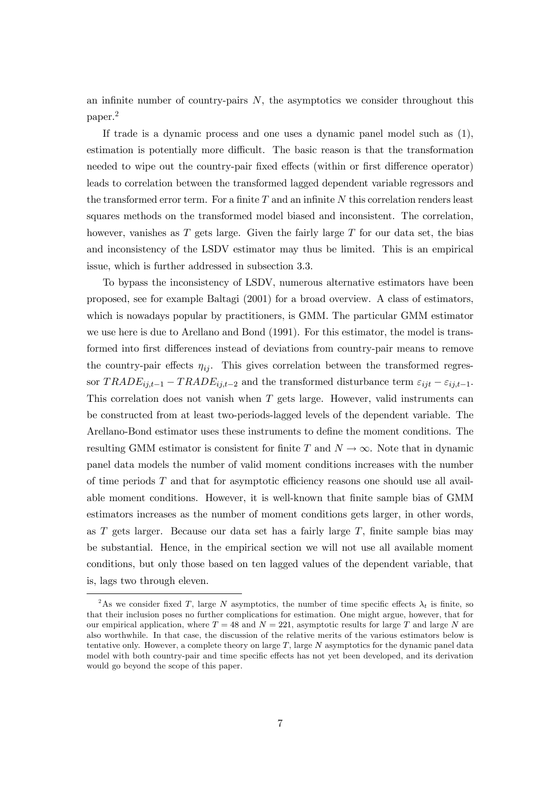an infinite number of country-pairs  $N$ , the asymptotics we consider throughout this paper.2

If trade is a dynamic process and one uses a dynamic panel model such as (1), estimation is potentially more difficult. The basic reason is that the transformation needed to wipe out the country-pair fixed effects (within or first difference operator) leads to correlation between the transformed lagged dependent variable regressors and the transformed error term. For a finite  $T$  and an infinite  $N$  this correlation renders least squares methods on the transformed model biased and inconsistent. The correlation, however, vanishes as  $T$  gets large. Given the fairly large  $T$  for our data set, the bias and inconsistency of the LSDV estimator may thus be limited. This is an empirical issue, which is further addressed in subsection 3.3.

To bypass the inconsistency of LSDV, numerous alternative estimators have been proposed, see for example Baltagi (2001) for a broad overview. A class of estimators, which is nowadays popular by practitioners, is GMM. The particular GMM estimator we use here is due to Arellano and Bond (1991). For this estimator, the model is transformed into first differences instead of deviations from country-pair means to remove the country-pair effects  $\eta_{ij}$ . This gives correlation between the transformed regressor  $TRADE_{ij,t-1} - TRADE_{ij,t-2}$  and the transformed disturbance term  $\varepsilon_{ijt} - \varepsilon_{ij,t-1}$ . This correlation does not vanish when  $T$  gets large. However, valid instruments can be constructed from at least two-periods-lagged levels of the dependent variable. The Arellano-Bond estimator uses these instruments to define the moment conditions. The resulting GMM estimator is consistent for finite T and  $N \to \infty$ . Note that in dynamic panel data models the number of valid moment conditions increases with the number of time periods  $T$  and that for asymptotic efficiency reasons one should use all available moment conditions. However, it is well-known that finite sample bias of GMM estimators increases as the number of moment conditions gets larger, in other words, as  $T$  gets larger. Because our data set has a fairly large  $T$ , finite sample bias may be substantial. Hence, in the empirical section we will not use all available moment conditions, but only those based on ten lagged values of the dependent variable, that is, lags two through eleven.

<sup>&</sup>lt;sup>2</sup>As we consider fixed T, large N asymptotics, the number of time specific effects  $\lambda_t$  is finite, so that their inclusion poses no further complications for estimation. One might argue, however, that for our empirical application, where  $T = 48$  and  $N = 221$ , asymptotic results for large T and large N are also worthwhile. In that case, the discussion of the relative merits of the various estimators below is tentative only. However, a complete theory on large  $T$ , large  $N$  asymptotics for the dynamic panel data model with both country-pair and time specific effects has not yet been developed, and its derivation would go beyond the scope of this paper.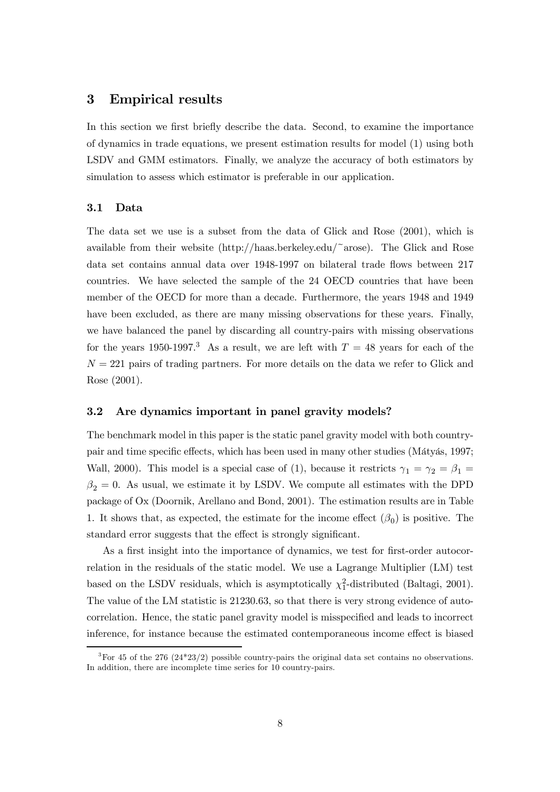## 3 Empirical results

In this section we first briefly describe the data. Second, to examine the importance of dynamics in trade equations, we present estimation results for model (1) using both LSDV and GMM estimators. Finally, we analyze the accuracy of both estimators by simulation to assess which estimator is preferable in our application.

#### 3.1 Data

The data set we use is a subset from the data of Glick and Rose (2001), which is available from their website  $(\text{http://haas.berkeley.edu/~arose})$ . The Glick and Rose data set contains annual data over 1948-1997 on bilateral trade flows between 217 countries. We have selected the sample of the 24 OECD countries that have been member of the OECD for more than a decade. Furthermore, the years 1948 and 1949 have been excluded, as there are many missing observations for these years. Finally, we have balanced the panel by discarding all country-pairs with missing observations for the years 1950-1997.<sup>3</sup> As a result, we are left with  $T = 48$  years for each of the  $N = 221$  pairs of trading partners. For more details on the data we refer to Glick and Rose (2001).

## 3.2 Are dynamics important in panel gravity models?

The benchmark model in this paper is the static panel gravity model with both countrypair and time specific effects, which has been used in many other studies (Mátyás, 1997; Wall, 2000). This model is a special case of (1), because it restricts  $\gamma_1 = \gamma_2 = \beta_1 =$  $\beta_2 = 0$ . As usual, we estimate it by LSDV. We compute all estimates with the DPD package of Ox (Doornik, Arellano and Bond, 2001). The estimation results are in Table 1. It shows that, as expected, the estimate for the income effect  $(\beta_0)$  is positive. The standard error suggests that the effect is strongly significant.

As a first insight into the importance of dynamics, we test for first-order autocorrelation in the residuals of the static model. We use a Lagrange Multiplier (LM) test based on the LSDV residuals, which is asymptotically  $\chi_1^2$ -distributed (Baltagi, 2001). The value of the LM statistic is 21230.63, so that there is very strong evidence of autocorrelation. Hence, the static panel gravity model is misspecified and leads to incorrect inference, for instance because the estimated contemporaneous income effect is biased

<sup>&</sup>lt;sup>3</sup>For 45 of the 276 (24\*23/2) possible country-pairs the original data set contains no observations. In addition, there are incomplete time series for 10 country-pairs.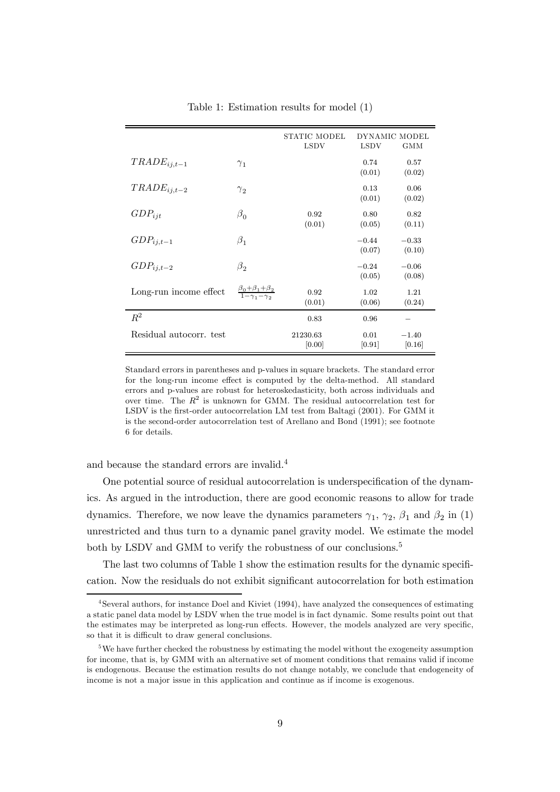|                         |                                                               | STATIC MODEL<br><b>LSDV</b> | DYNAMIC MODEL<br><b>LSDV</b><br><b>GMM</b> |                   |
|-------------------------|---------------------------------------------------------------|-----------------------------|--------------------------------------------|-------------------|
| $TRADE_{i,i,t-1}$       | $\gamma_1$                                                    |                             | 0.74<br>(0.01)                             | 0.57<br>(0.02)    |
| $TRADE_{i,i,t-2}$       | $\gamma_2$                                                    |                             | 0.13<br>(0.01)                             | 0.06<br>(0.02)    |
| $GDP_{ijt}$             | $\beta_0$                                                     | 0.92<br>(0.01)              | 0.80<br>(0.05)                             | 0.82<br>(0.11)    |
| $GDP_{ij,t-1}$          | $\beta_1$                                                     |                             | $-0.44$<br>(0.07)                          | $-0.33$<br>(0.10) |
| $GDP_{ij,t-2}$          | $\beta_2$                                                     |                             | $-0.24$<br>(0.05)                          | $-0.06$<br>(0.08) |
| Long-run income effect  | $\frac{\beta_0 + \beta_1 + \beta_2}{1 - \gamma_1 - \gamma_2}$ | 0.92<br>(0.01)              | 1.02<br>(0.06)                             | 1.21<br>(0.24)    |
| $R^2$                   |                                                               | 0.83                        | 0.96                                       |                   |
| Residual autocorr. test |                                                               | 21230.63<br>[0.00]          | 0.01<br>[0.91]                             | $-1.40$<br>[0.16] |

Table 1: Estimation results for model (1)

Standard errors in parentheses and p-values in square brackets. The standard error for the long-run income effect is computed by the delta-method. All standard errors and p-values are robust for heteroskedasticity, both across individuals and over time. The  $R^2$  is unknown for GMM. The residual autocorrelation test for LSDV is the first-order autocorrelation LM test from Baltagi (2001). For GMM it is the second-order autocorrelation test of Arellano and Bond (1991); see footnote 6 for details.

and because the standard errors are invalid.4

One potential source of residual autocorrelation is underspecification of the dynamics. As argued in the introduction, there are good economic reasons to allow for trade dynamics. Therefore, we now leave the dynamics parameters  $\gamma_1$ ,  $\gamma_2$ ,  $\beta_1$  and  $\beta_2$  in (1) unrestricted and thus turn to a dynamic panel gravity model. We estimate the model both by LSDV and GMM to verify the robustness of our conclusions.<sup>5</sup>

The last two columns of Table 1 show the estimation results for the dynamic specification. Now the residuals do not exhibit significant autocorrelation for both estimation

<sup>4</sup>Several authors, for instance Doel and Kiviet (1994), have analyzed the consequences of estimating a static panel data model by LSDV when the true model is in fact dynamic. Some results point out that the estimates may be interpreted as long-run effects. However, the models analyzed are very specific, so that it is difficult to draw general conclusions.

<sup>&</sup>lt;sup>5</sup>We have further checked the robustness by estimating the model without the exogeneity assumption for income, that is, by GMM with an alternative set of moment conditions that remains valid if income is endogenous. Because the estimation results do not change notably, we conclude that endogeneity of income is not a major issue in this application and continue as if income is exogenous.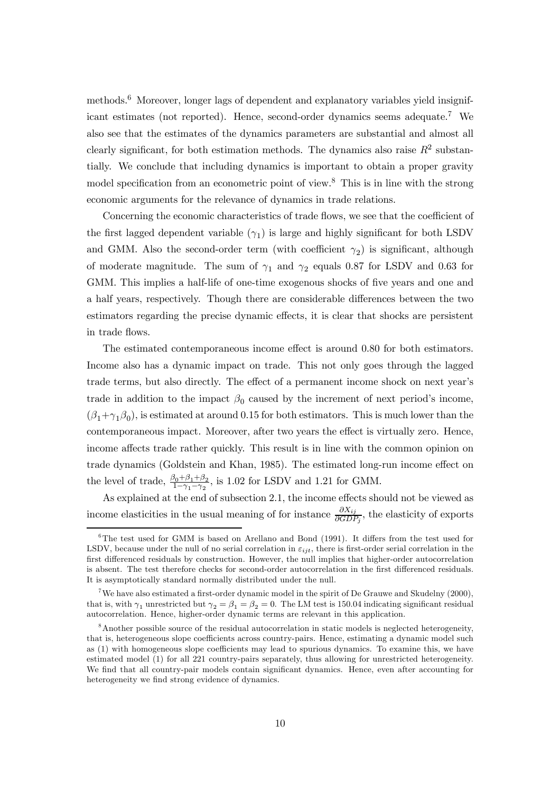methods.<sup>6</sup> Moreover, longer lags of dependent and explanatory variables yield insignificant estimates (not reported). Hence, second-order dynamics seems adequate.7 We also see that the estimates of the dynamics parameters are substantial and almost all clearly significant, for both estimation methods. The dynamics also raise  $R^2$  substantially. We conclude that including dynamics is important to obtain a proper gravity model specification from an econometric point of view.8 This is in line with the strong economic arguments for the relevance of dynamics in trade relations.

Concerning the economic characteristics of trade flows, we see that the coefficient of the first lagged dependent variable  $(\gamma_1)$  is large and highly significant for both LSDV and GMM. Also the second-order term (with coefficient  $\gamma_2$ ) is significant, although of moderate magnitude. The sum of  $\gamma_1$  and  $\gamma_2$  equals 0.87 for LSDV and 0.63 for GMM. This implies a half-life of one-time exogenous shocks of five years and one and a half years, respectively. Though there are considerable differences between the two estimators regarding the precise dynamic effects, it is clear that shocks are persistent in trade flows.

The estimated contemporaneous income effect is around 0.80 for both estimators. Income also has a dynamic impact on trade. This not only goes through the lagged trade terms, but also directly. The effect of a permanent income shock on next year's trade in addition to the impact  $\beta_0$  caused by the increment of next period's income,  $(\beta_1+\gamma_1\beta_0)$ , is estimated at around 0.15 for both estimators. This is much lower than the contemporaneous impact. Moreover, after two years the effect is virtually zero. Hence, income affects trade rather quickly. This result is in line with the common opinion on trade dynamics (Goldstein and Khan, 1985). The estimated long-run income effect on the level of trade,  $\frac{\beta_0 + \beta_1 + \beta_2}{1 - \gamma_1 - \gamma_2}$ , is 1.02 for LSDV and 1.21 for GMM.

As explained at the end of subsection 2.1, the income effects should not be viewed as income elasticities in the usual meaning of for instance  $\frac{\partial X_{ij}}{\partial GDP_j}$ , the elasticity of exports

 $6$ The test used for GMM is based on Arellano and Bond (1991). It differs from the test used for LSDV, because under the null of no serial correlation in  $\varepsilon_{ijt}$ , there is first-order serial correlation in the first differenced residuals by construction. However, the null implies that higher-order autocorrelation is absent. The test therefore checks for second-order autocorrelation in the first differenced residuals. It is asymptotically standard normally distributed under the null.

<sup>&</sup>lt;sup>7</sup>We have also estimated a first-order dynamic model in the spirit of De Grauwe and Skudelny  $(2000)$ , that is, with  $\gamma_1$  unrestricted but  $\gamma_2 = \beta_1 = \beta_2 = 0$ . The LM test is 150.04 indicating significant residual autocorrelation. Hence, higher-order dynamic terms are relevant in this application.

<sup>&</sup>lt;sup>8</sup> Another possible source of the residual autocorrelation in static models is neglected heterogeneity, that is, heterogeneous slope coefficients across country-pairs. Hence, estimating a dynamic model such as (1) with homogeneous slope coefficients may lead to spurious dynamics. To examine this, we have estimated model (1) for all 221 country-pairs separately, thus allowing for unrestricted heterogeneity. We find that all country-pair models contain significant dynamics. Hence, even after accounting for heterogeneity we find strong evidence of dynamics.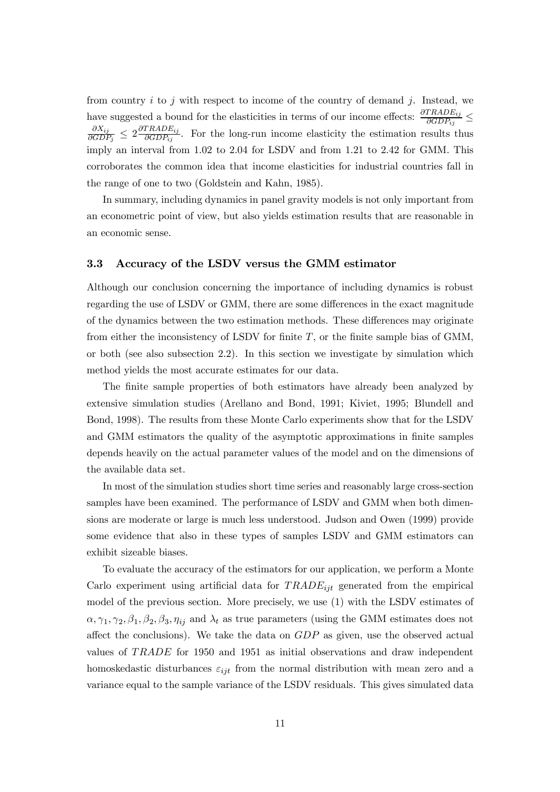from country  $i$  to  $j$  with respect to income of the country of demand  $j$ . Instead, we have suggested a bound for the elasticities in terms of our income effects:  $\frac{\partial TRADE_{ij}}{\partial GDP_{ij}} \leq$  $\frac{\partial X_{ij}}{\partial GDP_j} \leq 2 \frac{\partial TRADE_{ij}}{\partial GDP_{ij}}$ . For the long-run income elasticity the estimation results thus imply an interval from 1.02 to 2.04 for LSDV and from 1.21 to 2.42 for GMM. This corroborates the common idea that income elasticities for industrial countries fall in the range of one to two (Goldstein and Kahn, 1985).

In summary, including dynamics in panel gravity models is not only important from an econometric point of view, but also yields estimation results that are reasonable in an economic sense.

#### 3.3 Accuracy of the LSDV versus the GMM estimator

Although our conclusion concerning the importance of including dynamics is robust regarding the use of LSDV or GMM, there are some differences in the exact magnitude of the dynamics between the two estimation methods. These differences may originate from either the inconsistency of LSDV for finite  $T$ , or the finite sample bias of GMM, or both (see also subsection 2.2). In this section we investigate by simulation which method yields the most accurate estimates for our data.

The finite sample properties of both estimators have already been analyzed by extensive simulation studies (Arellano and Bond, 1991; Kiviet, 1995; Blundell and Bond, 1998). The results from these Monte Carlo experiments show that for the LSDV and GMM estimators the quality of the asymptotic approximations in finite samples depends heavily on the actual parameter values of the model and on the dimensions of the available data set.

In most of the simulation studies short time series and reasonably large cross-section samples have been examined. The performance of LSDV and GMM when both dimensions are moderate or large is much less understood. Judson and Owen (1999) provide some evidence that also in these types of samples LSDV and GMM estimators can exhibit sizeable biases.

To evaluate the accuracy of the estimators for our application, we perform a Monte Carlo experiment using artificial data for  $TRADE_{it}$  generated from the empirical model of the previous section. More precisely, we use (1) with the LSDV estimates of  $\alpha, \gamma_1, \gamma_2, \beta_1, \beta_2, \beta_3, \eta_{ij}$  and  $\lambda_t$  as true parameters (using the GMM estimates does not affect the conclusions). We take the data on GDP as given, use the observed actual values of TRADE for 1950 and 1951 as initial observations and draw independent homoskedastic disturbances  $\varepsilon_{ijt}$  from the normal distribution with mean zero and a variance equal to the sample variance of the LSDV residuals. This gives simulated data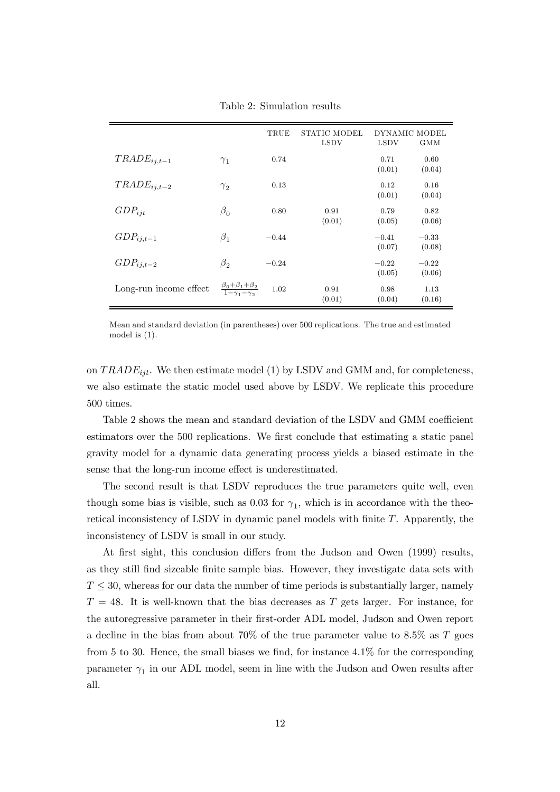|                        |                                                               | TRUE    | STATIC MODEL | DYNAMIC MODEL |            |
|------------------------|---------------------------------------------------------------|---------|--------------|---------------|------------|
|                        |                                                               |         | <b>LSDV</b>  | <b>LSDV</b>   | <b>GMM</b> |
| $TRADE_{ij,t-1}$       | $\gamma_1$                                                    | 0.74    |              | 0.71          | 0.60       |
|                        |                                                               |         |              | (0.01)        | (0.04)     |
| $TRADE_{ij,t-2}$       | $\gamma_{2}$                                                  | 0.13    |              | 0.12          | 0.16       |
|                        |                                                               |         |              | (0.01)        | (0.04)     |
| $GDP_{ijt}$            | $\beta_0$                                                     | 0.80    | 0.91         | 0.79          | 0.82       |
|                        |                                                               |         | (0.01)       | (0.05)        | (0.06)     |
| $GDP_{ij,t-1}$         | $\beta_1$                                                     | $-0.44$ |              | $-0.41$       | $-0.33$    |
|                        |                                                               |         |              | (0.07)        | (0.08)     |
| $GDP_{ij,t-2}$         | $\beta_2$                                                     | $-0.24$ |              | $-0.22$       | $-0.22$    |
|                        |                                                               |         |              | (0.05)        | (0.06)     |
| Long-run income effect | $\frac{\beta_0 + \beta_1 + \beta_2}{1 - \gamma_1 - \gamma_2}$ | 1.02    | 0.91         | 0.98          | 1.13       |
|                        |                                                               |         | (0.01)       | (0.04)        | (0.16)     |

Table 2: Simulation results

Mean and standard deviation (in parentheses) over 500 replications. The true and estimated model is (1).

on  $TRADE_{ijt}$ . We then estimate model (1) by LSDV and GMM and, for completeness, we also estimate the static model used above by LSDV. We replicate this procedure 500 times.

Table 2 shows the mean and standard deviation of the LSDV and GMM coefficient estimators over the 500 replications. We first conclude that estimating a static panel gravity model for a dynamic data generating process yields a biased estimate in the sense that the long-run income effect is underestimated.

The second result is that LSDV reproduces the true parameters quite well, even though some bias is visible, such as 0.03 for  $\gamma_1$ , which is in accordance with the theoretical inconsistency of LSDV in dynamic panel models with finite T. Apparently, the inconsistency of LSDV is small in our study.

At first sight, this conclusion differs from the Judson and Owen (1999) results, as they still find sizeable finite sample bias. However, they investigate data sets with  $T \leq 30$ , whereas for our data the number of time periods is substantially larger, namely  $T = 48$ . It is well-known that the bias decreases as T gets larger. For instance, for the autoregressive parameter in their first-order ADL model, Judson and Owen report a decline in the bias from about  $70\%$  of the true parameter value to  $8.5\%$  as T goes from 5 to 30. Hence, the small biases we find, for instance 4.1% for the corresponding parameter  $\gamma_1$  in our ADL model, seem in line with the Judson and Owen results after all.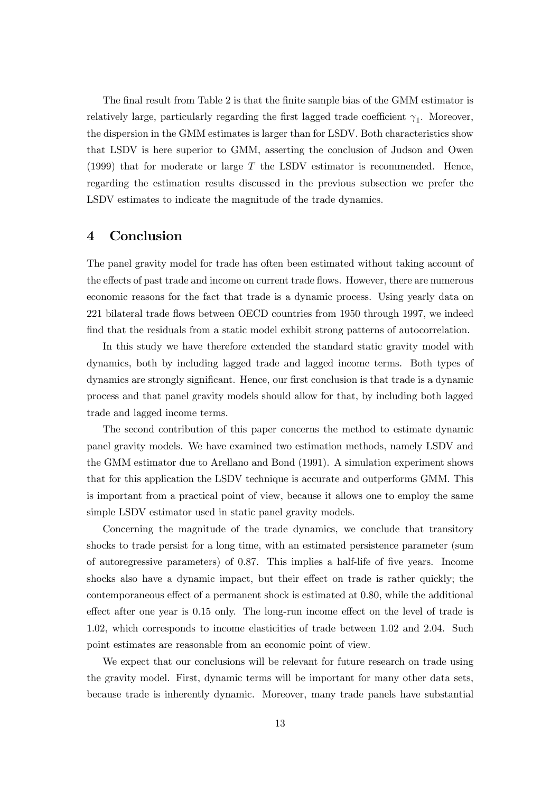The final result from Table 2 is that the finite sample bias of the GMM estimator is relatively large, particularly regarding the first lagged trade coefficient  $\gamma_1$ . Moreover, the dispersion in the GMM estimates is larger than for LSDV. Both characteristics show that LSDV is here superior to GMM, asserting the conclusion of Judson and Owen (1999) that for moderate or large  $T$  the LSDV estimator is recommended. Hence, regarding the estimation results discussed in the previous subsection we prefer the LSDV estimates to indicate the magnitude of the trade dynamics.

## 4 Conclusion

The panel gravity model for trade has often been estimated without taking account of the effects of past trade and income on current trade flows. However, there are numerous economic reasons for the fact that trade is a dynamic process. Using yearly data on 221 bilateral trade flows between OECD countries from 1950 through 1997, we indeed find that the residuals from a static model exhibit strong patterns of autocorrelation.

In this study we have therefore extended the standard static gravity model with dynamics, both by including lagged trade and lagged income terms. Both types of dynamics are strongly significant. Hence, our first conclusion is that trade is a dynamic process and that panel gravity models should allow for that, by including both lagged trade and lagged income terms.

The second contribution of this paper concerns the method to estimate dynamic panel gravity models. We have examined two estimation methods, namely LSDV and the GMM estimator due to Arellano and Bond (1991). A simulation experiment shows that for this application the LSDV technique is accurate and outperforms GMM. This is important from a practical point of view, because it allows one to employ the same simple LSDV estimator used in static panel gravity models.

Concerning the magnitude of the trade dynamics, we conclude that transitory shocks to trade persist for a long time, with an estimated persistence parameter (sum of autoregressive parameters) of 0.87. This implies a half-life of five years. Income shocks also have a dynamic impact, but their effect on trade is rather quickly; the contemporaneous effect of a permanent shock is estimated at 0.80, while the additional effect after one year is 0.15 only. The long-run income effect on the level of trade is 1.02, which corresponds to income elasticities of trade between 1.02 and 2.04. Such point estimates are reasonable from an economic point of view.

We expect that our conclusions will be relevant for future research on trade using the gravity model. First, dynamic terms will be important for many other data sets, because trade is inherently dynamic. Moreover, many trade panels have substantial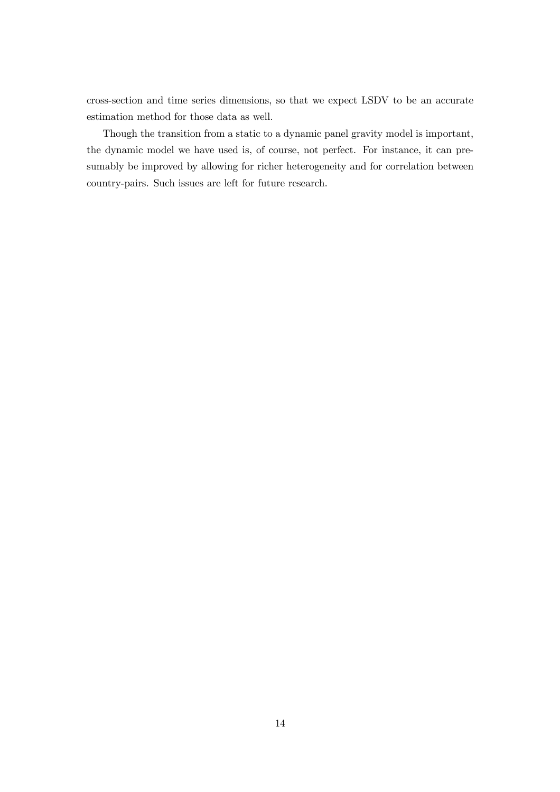cross-section and time series dimensions, so that we expect LSDV to be an accurate estimation method for those data as well.

Though the transition from a static to a dynamic panel gravity model is important, the dynamic model we have used is, of course, not perfect. For instance, it can presumably be improved by allowing for richer heterogeneity and for correlation between country-pairs. Such issues are left for future research.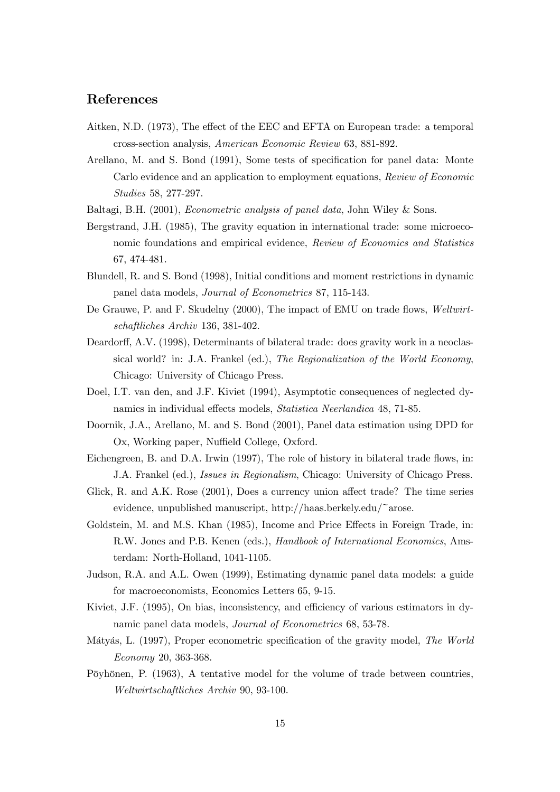# References

- Aitken, N.D. (1973), The effect of the EEC and EFTA on European trade: a temporal cross-section analysis, American Economic Review 63, 881-892.
- Arellano, M. and S. Bond (1991), Some tests of specification for panel data: Monte Carlo evidence and an application to employment equations, Review of Economic Studies 58, 277-297.
- Baltagi, B.H. (2001), Econometric analysis of panel data, John Wiley & Sons.
- Bergstrand, J.H. (1985), The gravity equation in international trade: some microeconomic foundations and empirical evidence, Review of Economics and Statistics 67, 474-481.
- Blundell, R. and S. Bond (1998), Initial conditions and moment restrictions in dynamic panel data models, Journal of Econometrics 87, 115-143.
- De Grauwe, P. and F. Skudelny (2000), The impact of EMU on trade flows, Weltwirtschaftliches Archiv 136, 381-402.
- Deardorff, A.V. (1998), Determinants of bilateral trade: does gravity work in a neoclassical world? in: J.A. Frankel (ed.), The Regionalization of the World Economy, Chicago: University of Chicago Press.
- Doel, I.T. van den, and J.F. Kiviet (1994), Asymptotic consequences of neglected dynamics in individual effects models, Statistica Neerlandica 48, 71-85.
- Doornik, J.A., Arellano, M. and S. Bond (2001), Panel data estimation using DPD for Ox, Working paper, Nuffield College, Oxford.
- Eichengreen, B. and D.A. Irwin (1997), The role of history in bilateral trade flows, in: J.A. Frankel (ed.), Issues in Regionalism, Chicago: University of Chicago Press.
- Glick, R. and A.K. Rose (2001), Does a currency union affect trade? The time series evidence, unpublished manuscript, http://haas.berkely.edu/~arose.
- Goldstein, M. and M.S. Khan (1985), Income and Price Effects in Foreign Trade, in: R.W. Jones and P.B. Kenen (eds.), Handbook of International Economics, Amsterdam: North-Holland, 1041-1105.
- Judson, R.A. and A.L. Owen (1999), Estimating dynamic panel data models: a guide for macroeconomists, Economics Letters 65, 9-15.
- Kiviet, J.F. (1995), On bias, inconsistency, and efficiency of various estimators in dynamic panel data models, Journal of Econometrics 68, 53-78.
- Mátyás, L. (1997), Proper econometric specification of the gravity model, The World Economy 20, 363-368.
- Pöyhönen, P. (1963), A tentative model for the volume of trade between countries, Weltwirtschaftliches Archiv 90, 93-100.